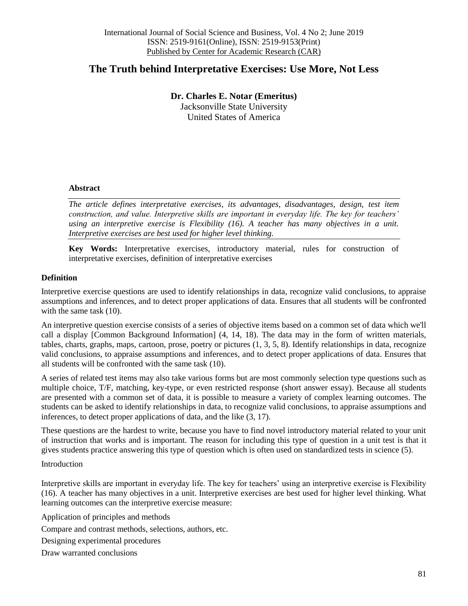# **The Truth behind Interpretative Exercises: Use More, Not Less**

**Dr. Charles E. Notar (Emeritus)** Jacksonville State University United States of America

## **Abstract**

*The article defines interpretative exercises, its advantages, disadvantages, design, test item construction, and value. Interpretive skills are important in everyday life. The key for teachers' using an interpretive exercise is Flexibility (16). A teacher has many objectives in a unit. Interpretive exercises are best used for higher level thinking.*

**Key Words:** Interpretative exercises, introductory material, rules for construction of interpretative exercises, definition of interpretative exercises

# **Definition**

Interpretive exercise questions are used to identify relationships in data, recognize valid conclusions, to appraise assumptions and inferences, and to detect proper applications of data. Ensures that all students will be confronted with the same task  $(10)$ .

An interpretive question exercise consists of a series of objective items based on a common set of data which we'll call a display [Common Background Information] (4, 14, 18). The data may in the form of written materials, tables, charts, graphs, maps, cartoon, prose, poetry or pictures (1, 3, 5, 8). Identify relationships in data, recognize valid conclusions, to appraise assumptions and inferences, and to detect proper applications of data. Ensures that all students will be confronted with the same task (10).

A series of related test items may also take various forms but are most commonly selection type questions such as multiple choice, T/F, matching, key-type, or even restricted response (short answer essay). Because all students are presented with a common set of data, it is possible to measure a variety of complex learning outcomes. The students can be asked to identify relationships in data, to recognize valid conclusions, to appraise assumptions and inferences, to detect proper applications of data, and the like (3, 17).

These questions are the hardest to write, because you have to find novel introductory material related to your unit of instruction that works and is important. The reason for including this type of question in a unit test is that it gives students practice answering this type of question which is often used on standardized tests in science (5).

#### Introduction

Interpretive skills are important in everyday life. The key for teachers' using an interpretive exercise is Flexibility (16). A teacher has many objectives in a unit. Interpretive exercises are best used for higher level thinking. What learning outcomes can the interpretive exercise measure:

Application of principles and methods

Compare and contrast methods, selections, authors, etc.

Designing experimental procedures

Draw warranted conclusions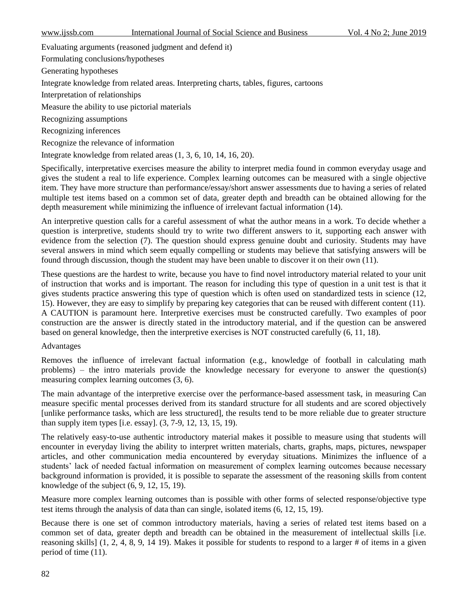| Vol. 4 No 2; June 2019<br>International Journal of Social Science and Business<br>www.11ssb.com |
|-------------------------------------------------------------------------------------------------|
|-------------------------------------------------------------------------------------------------|

Evaluating arguments (reasoned judgment and defend it)

Formulating conclusions/hypotheses

Generating hypotheses

Integrate knowledge from related areas. Interpreting charts, tables, figures, cartoons

Interpretation of relationships

Measure the ability to use pictorial materials

Recognizing assumptions

Recognizing inferences

Recognize the relevance of information

Integrate knowledge from related areas (1, 3, 6, 10, 14, 16, 20).

Specifically, interpretative exercises measure the ability to interpret media found in common everyday usage and gives the student a real to life experience. Complex learning outcomes can be measured with a single objective item. They have more structure than performance/essay/short answer assessments due to having a series of related multiple test items based on a common set of data, greater depth and breadth can be obtained allowing for the depth measurement while minimizing the influence of irrelevant factual information (14).

An interpretive question calls for a careful assessment of what the author means in a work. To decide whether a question is interpretive, students should try to write two different answers to it, supporting each answer with evidence from the selection (7). The question should express genuine doubt and curiosity. Students may have several answers in mind which seem equally compelling or students may believe that satisfying answers will be found through discussion, though the student may have been unable to discover it on their own (11).

These questions are the hardest to write, because you have to find novel introductory material related to your unit of instruction that works and is important. The reason for including this type of question in a unit test is that it gives students practice answering this type of question which is often used on standardized tests in science (12, 15). However, they are easy to simplify by preparing key categories that can be reused with different content (11). A CAUTION is paramount here. Interpretive exercises must be constructed carefully. Two examples of poor construction are the answer is directly stated in the introductory material, and if the question can be answered based on general knowledge, then the interpretive exercises is NOT constructed carefully (6, 11, 18).

# Advantages

Removes the influence of irrelevant factual information (e.g., knowledge of football in calculating math problems) – the intro materials provide the knowledge necessary for everyone to answer the question(s) measuring complex learning outcomes (3, 6).

The main advantage of the interpretive exercise over the performance-based assessment task, in measuring Can measure specific mental processes derived from its standard structure for all students and are scored objectively [unlike performance tasks, which are less structured], the results tend to be more reliable due to greater structure than supply item types [i.e. essay]. (3, 7-9, 12, 13, 15, 19).

The relatively easy-to-use authentic introductory material makes it possible to measure using that students will encounter in everyday living the ability to interpret written materials, charts, graphs, maps, pictures, newspaper articles, and other communication media encountered by everyday situations. Minimizes the influence of a students' lack of needed factual information on measurement of complex learning outcomes because necessary background information is provided, it is possible to separate the assessment of the reasoning skills from content knowledge of the subject (6, 9, 12, 15, 19).

Measure more complex learning outcomes than is possible with other forms of selected response/objective type test items through the analysis of data than can single, isolated items (6, 12, 15, 19).

Because there is one set of common introductory materials, having a series of related test items based on a common set of data, greater depth and breadth can be obtained in the measurement of intellectual skills [i.e. reasoning skills] (1, 2, 4, 8, 9, 14 19). Makes it possible for students to respond to a larger # of items in a given period of time (11).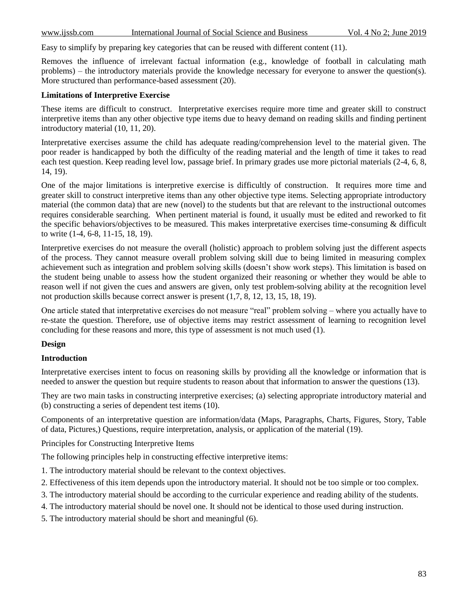Easy to simplify by preparing key categories that can be reused with different content (11).

Removes the influence of irrelevant factual information (e.g., knowledge of football in calculating math problems) – the introductory materials provide the knowledge necessary for everyone to answer the question(s). More structured than performance-based assessment (20).

# **Limitations of Interpretive Exercise**

These items are difficult to construct. Interpretative exercises require more time and greater skill to construct interpretive items than any other objective type items due to heavy demand on reading skills and finding pertinent introductory material (10, 11, 20).

Interpretative exercises assume the child has adequate reading/comprehension level to the material given. The poor reader is handicapped by both the difficulty of the reading material and the length of time it takes to read each test question. Keep reading level low, passage brief. In primary grades use more pictorial materials (2-4, 6, 8, 14, 19).

One of the major limitations is interpretive exercise is difficultly of construction. It requires more time and greater skill to construct interpretive items than any other objective type items. Selecting appropriate introductory material (the common data) that are new (novel) to the students but that are relevant to the instructional outcomes requires considerable searching. When pertinent material is found, it usually must be edited and reworked to fit the specific behaviors/objectives to be measured. This makes interpretative exercises time-consuming & difficult to write (1-4, 6-8, 11-15, 18, 19).

Interpretive exercises do not measure the overall (holistic) approach to problem solving just the different aspects of the process. They cannot measure overall problem solving skill due to being limited in measuring complex achievement such as integration and problem solving skills (doesn't show work steps). This limitation is based on the student being unable to assess how the student organized their reasoning or whether they would be able to reason well if not given the cues and answers are given, only test problem-solving ability at the recognition level not production skills because correct answer is present (1,7, 8, 12, 13, 15, 18, 19).

One article stated that interpretative exercises do not measure "real" problem solving – where you actually have to re-state the question. Therefore, use of objective items may restrict assessment of learning to recognition level concluding for these reasons and more, this type of assessment is not much used (1).

# **Design**

# **Introduction**

Interpretative exercises intent to focus on reasoning skills by providing all the knowledge or information that is needed to answer the question but require students to reason about that information to answer the questions (13).

They are two main tasks in constructing interpretive exercises; (a) selecting appropriate introductory material and (b) constructing a series of dependent test items (10).

Components of an interpretative question are information/data (Maps, Paragraphs, Charts, Figures, Story, Table of data, Pictures,) Questions, require interpretation, analysis, or application of the material (19).

Principles for Constructing Interpretive Items

The following principles help in constructing effective interpretive items:

- 1. The introductory material should be relevant to the context objectives.
- 2. Effectiveness of this item depends upon the introductory material. It should not be too simple or too complex.
- 3. The introductory material should be according to the curricular experience and reading ability of the students.
- 4. The introductory material should be novel one. It should not be identical to those used during instruction.
- 5. The introductory material should be short and meaningful (6).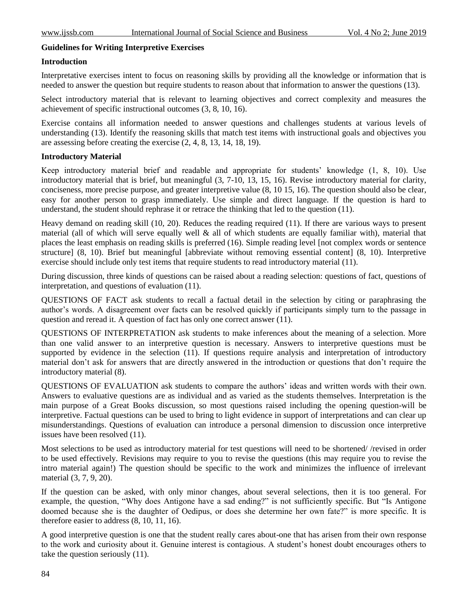## **Guidelines for Writing Interpretive Exercises**

#### **Introduction**

Interpretative exercises intent to focus on reasoning skills by providing all the knowledge or information that is needed to answer the question but require students to reason about that information to answer the questions (13).

Select introductory material that is relevant to learning objectives and correct complexity and measures the achievement of specific instructional outcomes (3, 8, 10, 16).

Exercise contains all information needed to answer questions and challenges students at various levels of understanding (13). Identify the reasoning skills that match test items with instructional goals and objectives you are assessing before creating the exercise (2, 4, 8, 13, 14, 18, 19).

## **Introductory Material**

Keep introductory material brief and readable and appropriate for students' knowledge (1, 8, 10). Use introductory material that is brief, but meaningful (3, 7-10, 13, 15, 16). Revise introductory material for clarity, conciseness, more precise purpose, and greater interpretive value (8, 10 15, 16). The question should also be clear, easy for another person to grasp immediately. Use simple and direct language. If the question is hard to understand, the student should rephrase it or retrace the thinking that led to the question (11).

Heavy demand on reading skill (10, 20). Reduces the reading required (11). If there are various ways to present material (all of which will serve equally well  $\&$  all of which students are equally familiar with), material that places the least emphasis on reading skills is preferred (16). Simple reading level [not complex words or sentence structure] (8, 10). Brief but meaningful [abbreviate without removing essential content] (8, 10). Interpretive exercise should include only test items that require students to read introductory material (11).

During discussion, three kinds of questions can be raised about a reading selection: questions of fact, questions of interpretation, and questions of evaluation (11).

QUESTIONS OF FACT ask students to recall a factual detail in the selection by citing or paraphrasing the author's words. A disagreement over facts can be resolved quickly if participants simply turn to the passage in question and reread it. A question of fact has only one correct answer (11).

QUESTIONS OF INTERPRETATION ask students to make inferences about the meaning of a selection. More than one valid answer to an interpretive question is necessary. Answers to interpretive questions must be supported by evidence in the selection (11). If questions require analysis and interpretation of introductory material don't ask for answers that are directly answered in the introduction or questions that don't require the introductory material (8).

QUESTIONS OF EVALUATION ask students to compare the authors' ideas and written words with their own. Answers to evaluative questions are as individual and as varied as the students themselves. Interpretation is the main purpose of a Great Books discussion, so most questions raised including the opening question-will be interpretive. Factual questions can be used to bring to light evidence in support of interpretations and can clear up misunderstandings. Questions of evaluation can introduce a personal dimension to discussion once interpretive issues have been resolved (11).

Most selections to be used as introductory material for test questions will need to be shortened//revised in order to be used effectively. Revisions may require to you to revise the questions (this may require you to revise the intro material again!) The question should be specific to the work and minimizes the influence of irrelevant material (3, 7, 9, 20).

If the question can be asked, with only minor changes, about several selections, then it is too general. For example, the question, "Why does Antigone have a sad ending?" is not sufficiently specific. But "Is Antigone doomed because she is the daughter of Oedipus, or does she determine her own fate?" is more specific. It is therefore easier to address (8, 10, 11, 16).

A good interpretive question is one that the student really cares about-one that has arisen from their own response to the work and curiosity about it. Genuine interest is contagious. A student's honest doubt encourages others to take the question seriously (11).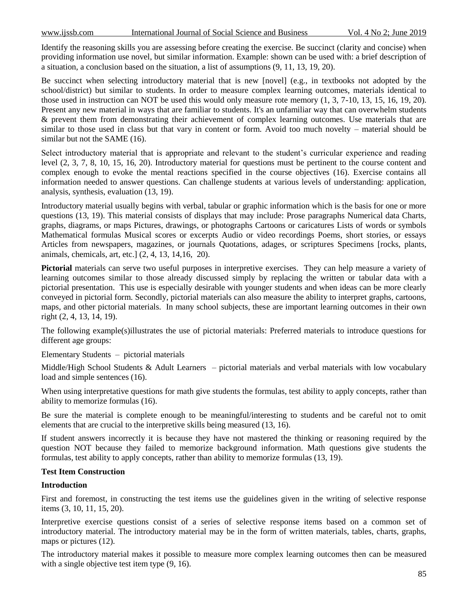Identify the reasoning skills you are assessing before creating the exercise. Be succinct (clarity and concise) when providing information use novel, but similar information. Example: shown can be used with: a brief description of a situation, a conclusion based on the situation, a list of assumptions (9, 11, 13, 19, 20).

Be succinct when selecting introductory material that is new [novel] (e.g., in textbooks not adopted by the school/district) but similar to students. In order to measure complex learning outcomes, materials identical to those used in instruction can NOT be used this would only measure rote memory (1, 3, 7-10, 13, 15, 16, 19, 20). Present any new material in ways that are familiar to students. It's an unfamiliar way that can overwhelm students & prevent them from demonstrating their achievement of complex learning outcomes. Use materials that are similar to those used in class but that vary in content or form. Avoid too much novelty – material should be similar but not the SAME (16).

Select introductory material that is appropriate and relevant to the student's curricular experience and reading level (2, 3, 7, 8, 10, 15, 16, 20). Introductory material for questions must be pertinent to the course content and complex enough to evoke the mental reactions specified in the course objectives (16). Exercise contains all information needed to answer questions. Can challenge students at various levels of understanding: application, analysis, synthesis, evaluation (13, 19).

Introductory material usually begins with verbal, tabular or graphic information which is the basis for one or more questions (13, 19). This material consists of displays that may include: Prose paragraphs Numerical data Charts, graphs, diagrams, or maps Pictures, drawings, or photographs Cartoons or caricatures Lists of words or symbols Mathematical formulas Musical scores or excerpts Audio or video recordings Poems, short stories, or essays Articles from newspapers, magazines, or journals Quotations, adages, or scriptures Specimens [rocks, plants, animals, chemicals, art, etc.] (2, 4, 13, 14,16, 20).

**Pictorial** materials can serve two useful purposes in interpretive exercises. They can help measure a variety of learning outcomes similar to those already discussed simply by replacing the written or tabular data with a pictorial presentation. This use is especially desirable with younger students and when ideas can be more clearly conveyed in pictorial form. Secondly, pictorial materials can also measure the ability to interpret graphs, cartoons, maps, and other pictorial materials. In many school subjects, these are important learning outcomes in their own right (2, 4, 13, 14, 19).

The following example(s)illustrates the use of pictorial materials: Preferred materials to introduce questions for different age groups:

Elementary Students – pictorial materials

Middle/High School Students & Adult Learners – pictorial materials and verbal materials with low vocabulary load and simple sentences (16).

When using interpretative questions for math give students the formulas, test ability to apply concepts, rather than ability to memorize formulas (16).

Be sure the material is complete enough to be meaningful/interesting to students and be careful not to omit elements that are crucial to the interpretive skills being measured (13, 16).

If student answers incorrectly it is because they have not mastered the thinking or reasoning required by the question NOT because they failed to memorize background information. Math questions give students the formulas, test ability to apply concepts, rather than ability to memorize formulas (13, 19).

# **Test Item Construction**

# **Introduction**

First and foremost, in constructing the test items use the guidelines given in the writing of selective response items (3, 10, 11, 15, 20).

Interpretive exercise questions consist of a series of selective response items based on a common set of introductory material. The introductory material may be in the form of written materials, tables, charts, graphs, maps or pictures (12).

The introductory material makes it possible to measure more complex learning outcomes then can be measured with a single objective test item type  $(9, 16)$ .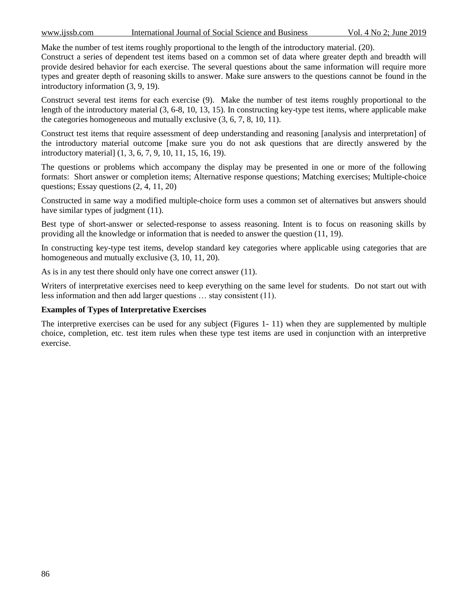Make the number of test items roughly proportional to the length of the introductory material. (20).

Construct a series of dependent test items based on a common set of data where greater depth and breadth will provide desired behavior for each exercise. The several questions about the same information will require more types and greater depth of reasoning skills to answer. Make sure answers to the questions cannot be found in the introductory information (3, 9, 19).

Construct several test items for each exercise (9). Make the number of test items roughly proportional to the length of the introductory material (3, 6-8, 10, 13, 15). In constructing key-type test items, where applicable make the categories homogeneous and mutually exclusive (3, 6, 7, 8, 10, 11).

Construct test items that require assessment of deep understanding and reasoning [analysis and interpretation] of the introductory material outcome [make sure you do not ask questions that are directly answered by the introductory material] (1, 3, 6, 7, 9, 10, 11, 15, 16, 19).

The questions or problems which accompany the display may be presented in one or more of the following formats: Short answer or completion items; Alternative response questions; Matching exercises; Multiple-choice questions; Essay questions (2, 4, 11, 20)

Constructed in same way a modified multiple-choice form uses a common set of alternatives but answers should have similar types of judgment (11).

Best type of short-answer or selected-response to assess reasoning. Intent is to focus on reasoning skills by providing all the knowledge or information that is needed to answer the question (11, 19).

In constructing key-type test items, develop standard key categories where applicable using categories that are homogeneous and mutually exclusive (3, 10, 11, 20).

As is in any test there should only have one correct answer (11).

Writers of interpretative exercises need to keep everything on the same level for students. Do not start out with less information and then add larger questions … stay consistent (11).

# **Examples of Types of Interpretative Exercises**

The interpretive exercises can be used for any subject (Figures 1- 11) when they are supplemented by multiple choice, completion, etc. test item rules when these type test items are used in conjunction with an interpretive exercise.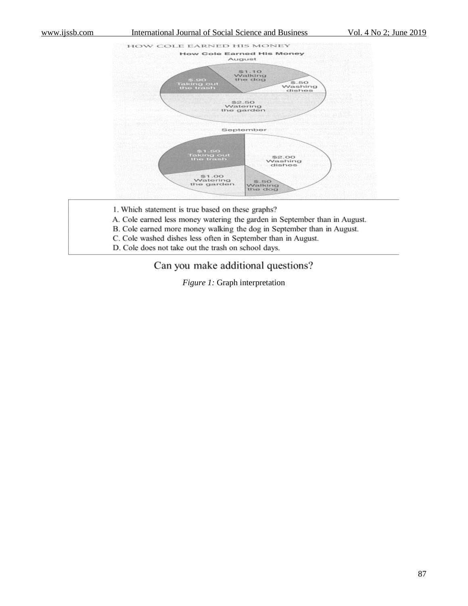#### www.ijssb.com International Journal of Social Science and Business Vol. 4 No 2; June 2019



- 1. Which statement is true based on these graphs?
- A. Cole earned less money watering the garden in September than in August.
- B. Cole earned more money walking the dog in September than in August.
- C. Cole washed dishes less often in September than in August.
- D. Cole does not take out the trash on school days.

# Can you make additional questions?

*Figure 1:* Graph interpretation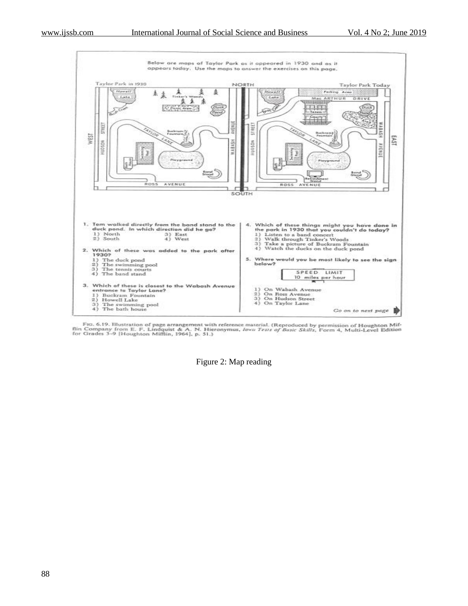

Fig. 6.19. Illustration of page arrangement with reference material. (Reproduced by permission of Houghton Mif-<br>flin Company from E. F. Lindquist & A. N. Hieronymus, Iown Tests of Basic Skills, Form 4, Multi-Level Edition<br>

Figure 2: Map reading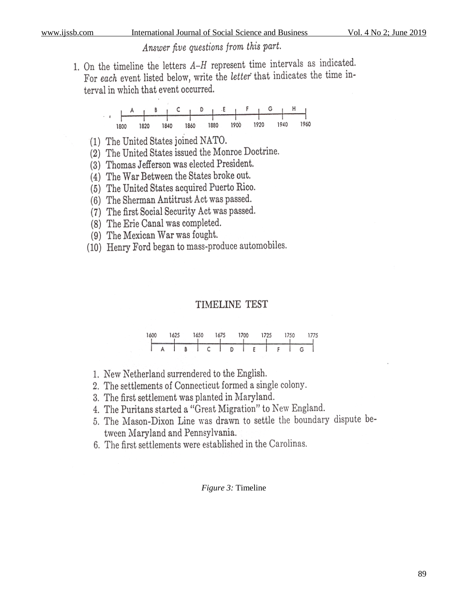# Answer five questions from this part.

1. On the timeline the letters  $A-H$  represent time intervals as indicated. For each event listed below, write the *letter* that indicates the time interval in which that event occurred.

- (1) The United States joined NATO.
- (2) The United States issued the Monroe Doctrine.
- (3) Thomas Jefferson was elected President.
- (4) The War Between the States broke out.
- (5) The United States acquired Puerto Rico.
- (6) The Sherman Antitrust Act was passed.
- (7) The first Social Security Act was passed.
- (8) The Erie Canal was completed.
- (9) The Mexican War was fought.
- (10) Henry Ford began to mass-produce automobiles.

# TIMELINE TEST

| 1600 |  | 1625 |   | 1650 |   |   | 675 |   | 1700 |  | 1725 | 750 |  | 775 |
|------|--|------|---|------|---|---|-----|---|------|--|------|-----|--|-----|
|      |  |      |   |      |   |   |     |   |      |  |      |     |  |     |
|      |  |      | B |      | C | ı |     | D |      |  |      |     |  |     |

- 1. New Netherland surrendered to the English.
- 2. The settlements of Connecticut formed a single colony.
- 3. The first settlement was planted in Maryland.
- 4. The Puritans started a "Great Migration" to New England.
- 5. The Mason-Dixon Line was drawn to settle the boundary dispute between Maryland and Pennsylvania.
- 6. The first settlements were established in the Carolinas.

# *Figure 3:* Timeline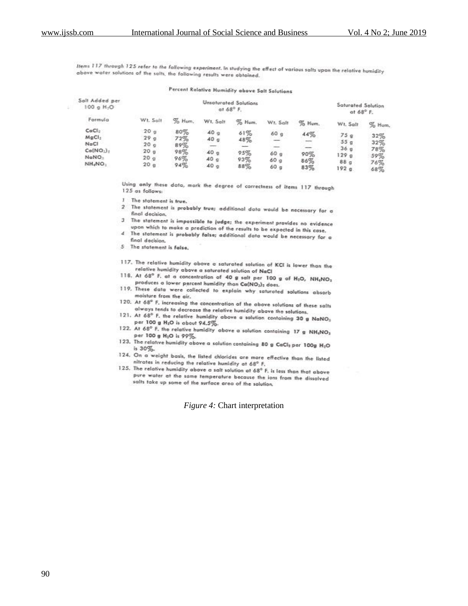Items 117 through 125 refer to the following experiment. In studying the effect of various salts upon the relative humidity above water solutions of the salts, the following results were abtained.

## Percent Relative Humidity above Salt Solutions

| Salt Added per<br>100 e H <sub>1</sub> O                                                                             |                                                                            |                                        |                                                                     | <b>Unsaturated Solutions</b><br>at $68^\circ$ F. |                                                                    |                          | Saturated Solution<br>at $68^{\circ}$ F.                                                 |                                        |
|----------------------------------------------------------------------------------------------------------------------|----------------------------------------------------------------------------|----------------------------------------|---------------------------------------------------------------------|--------------------------------------------------|--------------------------------------------------------------------|--------------------------|------------------------------------------------------------------------------------------|----------------------------------------|
| Formula                                                                                                              | W.t. Sellt                                                                 | $%$ Hum.                               | Wt. Salt                                                            | % Hum.                                           | Wt. Salt                                                           | % Hum.                   | Wt. Salt                                                                                 | % Hum.                                 |
| CoCl <sub>2</sub><br>$M \oplus Cl_2$<br>NeCl<br>$Co(NO_1)_+$<br>NaNO <sub>1</sub><br>NH <sub>4</sub> NO <sub>3</sub> | 20 <sub>g</sub><br>29g<br>20g<br>20 <sub>g</sub><br>20q<br>20 <sub>g</sub> | 80%<br>72%<br>89%<br>98%<br>96%<br>94% | 40 <sub>9</sub><br>40g<br>40 <sub>q</sub><br>40q<br>40 <sub>9</sub> | 61%<br>48%<br>95%<br>93%<br>88%                  | 60 <sub>g</sub><br>-<br>60 <sub>9</sub><br>60 <sub>9</sub><br>60 g | 44%<br>90%<br>86%<br>83% | 75q<br>55 <sub>1</sub><br>36 <sub>9</sub><br>129 <sub>9</sub><br>88 <sub>0</sub><br>192g | 32%<br>32%<br>78%<br>59%<br>76%<br>68% |

Using only these data, mark the degree of correctness of items 117 through 125 as follows:

- 1 The statement is true.
- 2 The statement is probably true; additional data would be necessary for a final decision.
- 3 The statement is impossible to judge; the experiment provides no evidence upon which to make a prediction of the results to be expected in this case.
- 4 The statement is probably false; additional data would be necessary for a final decision.
- 5 The statement is false.
- 117. The relative humidity above a saturated solution of KCI is lower than the relative humidity above a saturated solution of NaCl
- 118. At 68° F, at a concentration of 40 g salt per 100 g of H<sub>2</sub>O, NH<sub>4</sub>NO<sub>3</sub> produces a lower percent humidity than Ca(NO2)2 does.
- 119. These data were collected to explain why saturated solutions absorb moisture from the air.
- 120. At 68° F, increasing the concentration of the above solutions of these salts always tends to decrease the relative hunidity above the solutions.
- 121. At 68° F. the relative humidity above a solution containing 30 g NaNO<sub>3</sub> per 100 g H<sub>2</sub>O is obout 94.5%.
- 122. At 68° F. the relative humidity above a solution containing 17 g NH<sub>e</sub>NO<sub>3</sub> per 100 g H<sub>1</sub>O is 99%.
- 123. The relative humidity above a solution containing 80 g CaCl<sub>2</sub> per 100g H<sub>2</sub>O is 30%.
- 124. On a weight basis, the listed chlorides are more effective than the listed nitrates in reducing the relative hunidity at 68° F.
- 125. The relative humidity above a salt solution at 68° F, is less than that above pure water at the same temperature because the ions from the dissolved salts take up some of the surface area of the solution.

#### *Figure 4:* Chart interpretation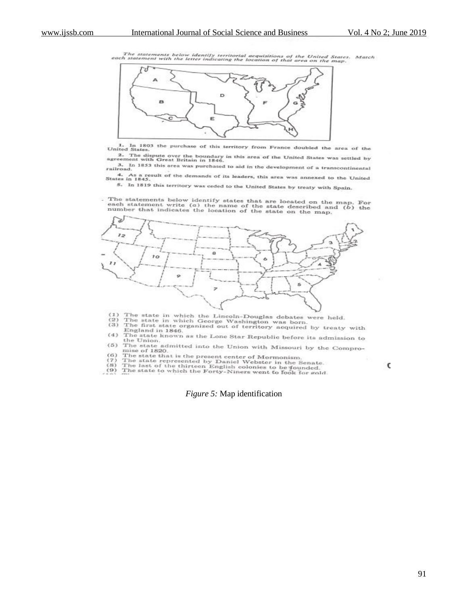The statements below identify territorial acquisitions of the United States. Match<br>each statement with the letter indicating the location of that area on the map.



1. In 1803 the purchase of this territory from France doubled the area of the United States.

2. The dispute over the boundary in this area of the United States was settled by<br>agreement with Great Britain in 1846. 3. In 1853 this area was purchased to aid in the development of a transcontinental railroad

4. As a result of the demands of its leaders, this area was annexed to the United States in 1845.

5. In 1819 this territory was ceded to the United States by treaty with Spain.

. The statements below identify states that are located on the map. For each statement write  $(a)$  the name of the state described and  $(b)$  the number that indicates the location of the state on the map.



 $(1)$  $(2)$ 

- $(3)$
- The state in which the Lincoln-Douglas debates were held.<br>The state in which George Washington was born.<br>The first state organized out of territory acquired by treaty with<br>England in 1846. England in 1846.<br>The state known as the Lone Star Republic before its admission to the Union.  $(4)$
- $(5)$  The state admitted into the Union with Missouri by the Compromise of 1820
- 
- 

to the state number of HS20.<br>
The state that is the present center of Mormonism.<br>
(7) The state represented by Daniel Webster in the Senate.<br>
(8) The last of the thirteen English colonies to be founded.<br>
(9) The last of t

*Figure 5:* Map identification

C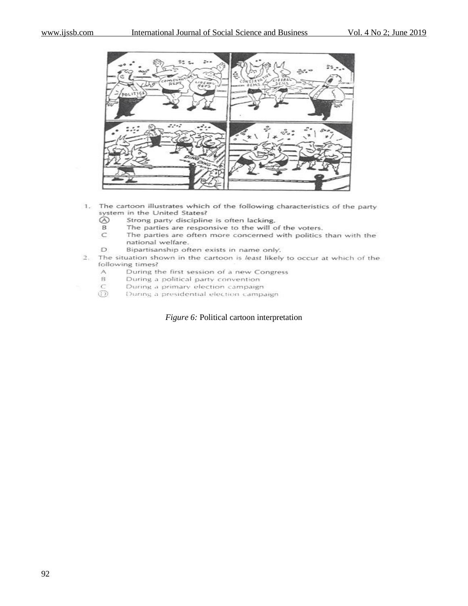

- 1. The cartoon illustrates which of the following characteristics of the party system in the United States?
	- $\odot$ Strong party discipline is often lacking.
	- B. The parties are responsive to the will of the voters.
	- The parties are often more concerned with politics than with the  $\subset$ national welfare.
	- D Bipartisanship often exists in name only.
- The situation shown in the cartoon is least likely to occur at which of the  $2.$ following times?
	- $\wedge$ During the first session of a new Congress
	- $_{\rm B}$ During a political party convention
	- $\subset$ During a primary election campaign
	- ത During a presidential election campaign

*Figure 6:* Political cartoon interpretation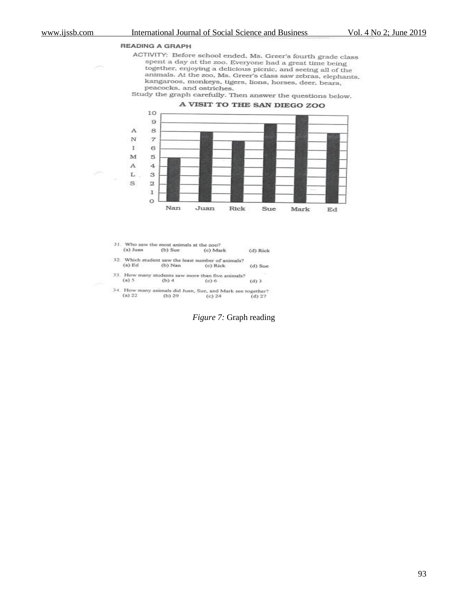#### **READING A GRAPH**

ACTIVITY: Before school ended, Ms. Greer's fourth grade class spent a day at the zoo. Everyone had a great time being together, enjoying a delicious picnic, and seeing all of the animals. At the zoo, Ms. Greer's class saw zebras, elephants, kangaroos, monkeys, tigers, lions, horses, deer, bears, peacocks, and ostriches.

Study the graph carefully. Then answer the questions below.



31. Who saw the most animals at the zoo? (a) Juan  $(b)$  Sue (c) Mark (d) Rick

- 32. Which student saw the least number of animals?  ${\rm (a)}$  Ed  $(b)$  Nan (c) Rick (d) Sue
- 33. How many students saw more than five animals?  $(a)$  5  $(b)4$  $(c)$  6  $(d)$  3
- 34. How many animals did Juan, Sue, and Mark see together?<br>(a) 22 (b) 29 (c) 24 (d) 27  $(b)$  29  $(c) 24$  $(d) 27$

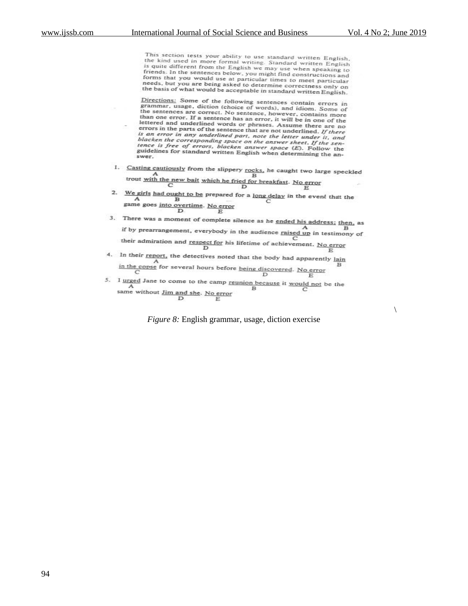$\setminus$ 

This section tests your ability to use standard written English, The kind used in more formal writing. Standard written English,<br>it is quite different from the English<br>is quite different from the English we may use when speaking to<br>friends. In the sentences below you might find a friends. In the sentences below, you might find constructions and<br>forms that you would use at particular times to meet particular<br>needs, but you are being asked to determines to meet particular needs, but you are being asked to determine correctness only on he basis of what would be acceptable in standard written English.

Directions: Some of the following sentences contain errors in<br>grammar, usage, diction (choice of words), and idiom. Some of<br>the sentences are correct. No sentence, however, contains more<br>than one error. If a sentence has a ecross in the parts of the sentence that are not underlined. If there<br>is an error in any underlined part, note the letter under it, and<br>blacken the correspondine part, note the letter under it, and is an error in any underlined part, note the letter under it, and<br>blacken the corresponding space on the answer sheet. If the sen-<br>tence is free of errors, blacken answer space  $(E)$ . Follow the<br>guidelines for standard wri

- 1. Casting cautiously from the slippery rocks, he caught two large speckled<br>trout with the new bait which be 6.1 to 1.1 trout with the new bait which he fried for breakfast. No error<br>  $C$ <br>  $D$
- 2. We girls had ought to be prepared for a <u>long delay</u> in the event that the E<br>
game goes <u>into overtime</u>. No error<br>
D<br>
E
- 3. There was a moment of complete silence as he ended his address; then, as  $\mathbf{A}$ if by prearrangement, everybody in the audience  $\frac{A}{\text{rained up}}$  in testimony of their admiration and <u>respect for</u> his lifetime of achievement. No error<br> $D$
- 4. In their report, the detectives noted that the body had apparently  $\frac{1}{\ln n}$ in the copse for several hours before <u>being discovered</u>. No error<br>  $D$  E
- 5. I <u>urged</u> Jane to come to the camp <u>reunion because</u> it <u>would not</u> be the same without Jim and she. No ones B same without  $\underline{\text{Jim and she}}$ . No error

*Figure 8:* English grammar, usage, diction exercise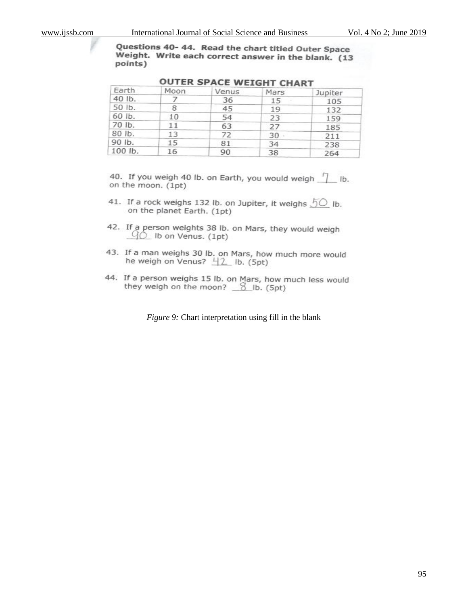Questions 40-44. Read the chart titled Outer Space Weight. Write each correct answer in the blank. (13 points)

| Earth   | Moon | Venus | Mars   | Jupiter |
|---------|------|-------|--------|---------|
| 40 lb.  |      | 36    | 15     | 105     |
| 50 lb.  | 8    | 45    | 19     | 132     |
| 60 lb.  | 10   | 54    | 23     | 159     |
| 70 lb.  | 11   | 63    | 27     | 185     |
| 80 lb.  | 13   | 72    | $30 -$ | 211     |
| 90 lb.  | 15   | 81    | 34     | 238     |
| 100 lb. | 16   | 90    | 38     | 264     |

# **OUTER SPACE WEIGHT CHART**

40. If you weigh 40 lb. on Earth, you would weigh [1] lb. on the moon. (1pt)

- 41. If a rock weighs 132 lb. on Jupiter, it weighs  $50$  lb. on the planet Earth. (1pt)
- 42. If a person weights 38 lb. on Mars, they would weigh  $90$  Ib on Venus. (1pt)
- 43. If a man weighs 30 lb. on Mars, how much more would he weigh on Venus?  $\frac{11}{2}$  lb. (5pt)
- 44. If a person weighs 15 lb. on Mars, how much less would they weigh on the moon?  $\frac{8}{2}$  lb. (5pt)

*Figure 9:* Chart interpretation using fill in the blank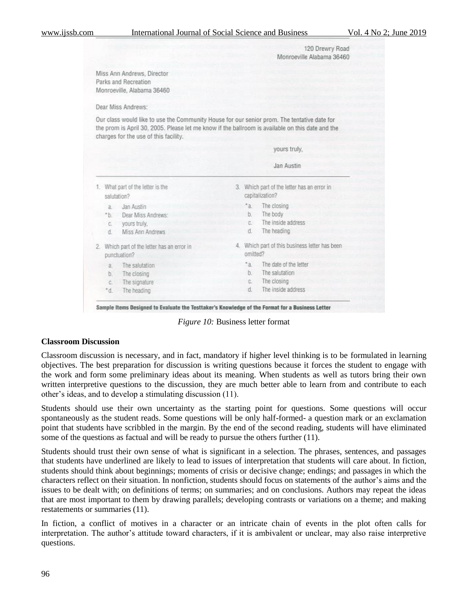|              |                                                                                                                                                                                                                                          |                          | 120 Drewry Road<br>Monroeville Alabama 36460                   |
|--------------|------------------------------------------------------------------------------------------------------------------------------------------------------------------------------------------------------------------------------------------|--------------------------|----------------------------------------------------------------|
|              | Miss Ann Andrews, Director<br>Parks and Recreation<br>Monroeville, Alabama 36460                                                                                                                                                         |                          |                                                                |
|              | Dear Miss Andrews:                                                                                                                                                                                                                       |                          |                                                                |
|              | Our class would like to use the Community House for our senior prom. The tentative date for<br>the prom is April 30, 2005. Please let me know if the ballroom is available on this date and the<br>charges for the use of this facility. |                          |                                                                |
|              |                                                                                                                                                                                                                                          |                          | yours truly.                                                   |
|              |                                                                                                                                                                                                                                          |                          | Jan Austin                                                     |
|              | 1. What part of the letter is the<br>salutation?                                                                                                                                                                                         |                          | 3. Which part of the letter has an error in<br>capitalization? |
| a<br>h<br>d. | Jan Austin<br>Dear Miss Andrews:<br>c. vours truly.<br>Miss Ann Andrews                                                                                                                                                                  | $a^*a$<br>b.<br>C.<br>d. | The closing<br>The body<br>The inside address<br>The heading   |
|              | 2. Which part of the letter has an error in                                                                                                                                                                                              |                          | 4. Which part of this business letter has been                 |
|              | punctuation?                                                                                                                                                                                                                             | omitted?                 |                                                                |

Sample Items Designed to Evaluate the Testtaker's Knowledge of the Format for a Business Letter

*Figure 10:* Business letter format

#### **Classroom Discussion**

Classroom discussion is necessary, and in fact, mandatory if higher level thinking is to be formulated in learning objectives. The best preparation for discussion is writing questions because it forces the student to engage with the work and form some preliminary ideas about its meaning. When students as well as tutors bring their own written interpretive questions to the discussion, they are much better able to learn from and contribute to each other's ideas, and to develop a stimulating discussion (11).

Students should use their own uncertainty as the starting point for questions. Some questions will occur spontaneously as the student reads. Some questions will be only half-formed- a question mark or an exclamation point that students have scribbled in the margin. By the end of the second reading, students will have eliminated some of the questions as factual and will be ready to pursue the others further (11).

Students should trust their own sense of what is significant in a selection. The phrases, sentences, and passages that students have underlined are likely to lead to issues of interpretation that students will care about. In fiction, students should think about beginnings; moments of crisis or decisive change; endings; and passages in which the characters reflect on their situation. In nonfiction, students should focus on statements of the author's aims and the issues to be dealt with; on definitions of terms; on summaries; and on conclusions. Authors may repeat the ideas that are most important to them by drawing parallels; developing contrasts or variations on a theme; and making restatements or summaries (11).

In fiction, a conflict of motives in a character or an intricate chain of events in the plot often calls for interpretation. The author's attitude toward characters, if it is ambivalent or unclear, may also raise interpretive questions.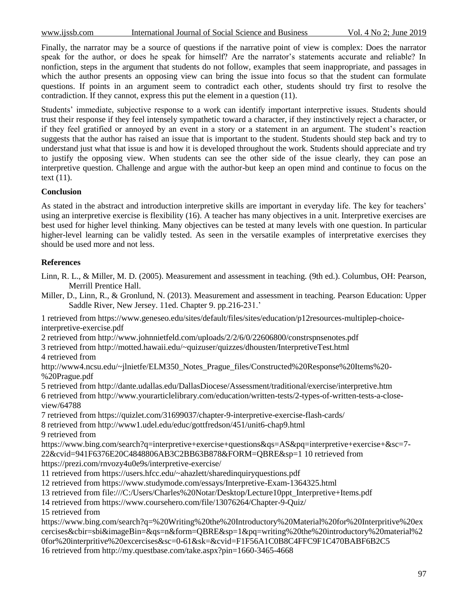www.ijssb.com International Journal of Social Science and Business Vol. 4 No 2; June 2019

Finally, the narrator may be a source of questions if the narrative point of view is complex: Does the narrator speak for the author, or does he speak for himself? Are the narrator's statements accurate and reliable? In nonfiction, steps in the argument that students do not follow, examples that seem inappropriate, and passages in which the author presents an opposing view can bring the issue into focus so that the student can formulate questions. If points in an argument seem to contradict each other, students should try first to resolve the contradiction. If they cannot, express this put the element in a question (11).

Students' immediate, subjective response to a work can identify important interpretive issues. Students should trust their response if they feel intensely sympathetic toward a character, if they instinctively reject a character, or if they feel gratified or annoyed by an event in a story or a statement in an argument. The student's reaction suggests that the author has raised an issue that is important to the student. Students should step back and try to understand just what that issue is and how it is developed throughout the work. Students should appreciate and try to justify the opposing view. When students can see the other side of the issue clearly, they can pose an interpretive question. Challenge and argue with the author-but keep an open mind and continue to focus on the text (11).

# **Conclusion**

As stated in the abstract and introduction interpretive skills are important in everyday life. The key for teachers' using an interpretive exercise is flexibility (16). A teacher has many objectives in a unit. Interpretive exercises are best used for higher level thinking. Many objectives can be tested at many levels with one question. In particular higher-level learning can be validly tested. As seen in the versatile examples of interpretative exercises they should be used more and not less.

# **References**

- Linn, R. L., & Miller, M. D. (2005). Measurement and assessment in teaching. (9th ed.). Columbus, OH: Pearson, Merrill Prentice Hall.
- Miller, D., Linn, R., & Gronlund, N. (2013). Measurement and assessment in teaching. Pearson Education: Upper Saddle River, New Jersey. 11ed. Chapter 9. pp.216-231.'

1 retrieved from https://www.geneseo.edu/sites/default/files/sites/education/p12resources-multiplep-choiceinterpretive-exercise.pdf

2 retrieved from http://www.johnnietfeld.com/uploads/2/2/6/0/22606800/constrspnsenotes.pdf

3 retrieved from http://motted.hawaii.edu/~quizuser/quizzes/dhousten/InterpretiveTest.html 4 retrieved from

http://www4.ncsu.edu/~jlnietfe/ELM350\_Notes\_Prague\_files/Constructed%20Response%20Items%20- %20Prague.pdf

5 retrieved from http://dante.udallas.edu/DallasDiocese/Assessment/traditional/exercise/interpretive.htm 6 retrieved from http://www.yourarticlelibrary.com/education/written-tests/2-types-of-written-tests-a-closeview/64788

7 retrieved from https://quizlet.com/31699037/chapter-9-interpretive-exercise-flash-cards/

8 retrieved from http://www1.udel.edu/educ/gottfredson/451/unit6-chap9.html

9 retrieved from

https://www.bing.com/search?q=interpretive+exercise+questions&qs=AS&pq=interpretive+exercise+&sc=7- 22&cvid=941F6376E20C4848806AB3C2BB63B878&FORM=QBRE&sp=1 10 retrieved from

https://prezi.com/rnvozy4u0e9s/interpretive-exercise/

- 11 retrieved from https://users.hfcc.edu/~ahazlett/sharedinquiryquestions.pdf
- 12 retrieved from https://www.studymode.com/essays/Interpretive-Exam-1364325.html
- 13 retrieved from file:///C:/Users/Charles%20Notar/Desktop/Lecture10ppt\_Interpretive+Items.pdf
- 14 retrieved from https://www.coursehero.com/file/13076264/Chapter-9-Quiz/

15 retrieved from

https://www.bing.com/search?q=%20Writing%20the%20Introductory%20Material%20for%20Interpritive%20ex cercises&cbir=sbi&imageBin=&qs=n&form=QBRE&sp=1&pq=writing%20the%20introductory%20material%2 0for%20interpritive%20excercises&sc=0-61&sk=&cvid=F1F56A1C0B8C4FFC9F1C470BABF6B2C5 16 retrieved from http://my.questbase.com/take.aspx?pin=1660-3465-4668